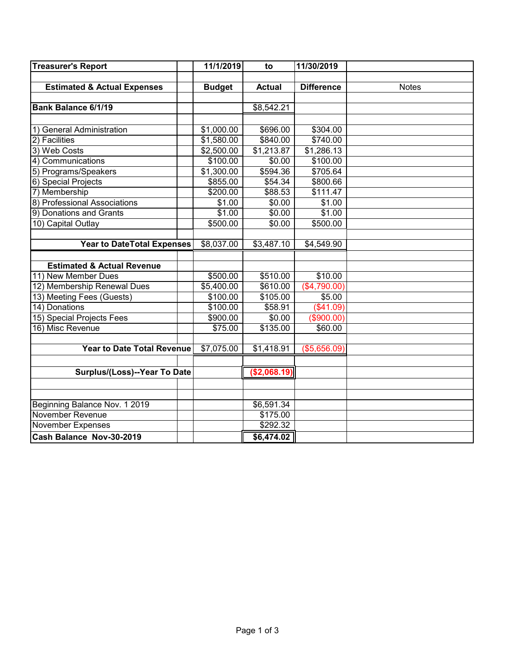| <b>Treasurer's Report</b>              | 11/1/2019<br>to |               | 11/30/2019        |              |
|----------------------------------------|-----------------|---------------|-------------------|--------------|
|                                        |                 |               |                   |              |
| <b>Estimated &amp; Actual Expenses</b> | <b>Budget</b>   | <b>Actual</b> | <b>Difference</b> | <b>Notes</b> |
|                                        |                 |               |                   |              |
| <b>Bank Balance 6/1/19</b>             |                 | \$8,542.21    |                   |              |
|                                        |                 |               |                   |              |
| 1) General Administration              | \$1,000.00      | \$696.00      | \$304.00          |              |
| 2) Facilities                          | \$1,580.00      | \$840.00      | \$740.00          |              |
| 3) Web Costs                           | \$2,500.00      | \$1,213.87    | \$1,286.13        |              |
| 4) Communications                      | \$100.00        | \$0.00        | \$100.00          |              |
| 5) Programs/Speakers                   | \$1,300.00      | \$594.36      | \$705.64          |              |
| 6) Special Projects                    | \$855.00        | \$54.34       | \$800.66          |              |
| 7) Membership                          | \$200.00        | \$88.53       | \$111.47          |              |
| 8) Professional Associations           | \$1.00          | \$0.00        | \$1.00            |              |
| 9) Donations and Grants                | \$1.00          | \$0.00        | $\sqrt{$1.00}$    |              |
| 10) Capital Outlay                     | \$500.00        | \$0.00        | \$500.00          |              |
|                                        |                 |               |                   |              |
| <b>Year to DateTotal Expenses</b>      | \$8,037.00      | \$3,487.10    | \$4,549.90        |              |
|                                        |                 |               |                   |              |
| <b>Estimated &amp; Actual Revenue</b>  |                 |               |                   |              |
| 11) New Member Dues                    | \$500.00        | \$510.00      | \$10.00           |              |
| 12) Membership Renewal Dues            | \$5,400.00      | \$610.00      | (\$4,790.00)      |              |
| 13) Meeting Fees (Guests)              | \$100.00        | \$105.00      | \$5.00            |              |
| 14) Donations                          | \$100.00        | \$58.91       | (\$41.09)         |              |
| 15) Special Projects Fees              | \$900.00        | \$0.00        | (\$900.00)        |              |
| 16) Misc Revenue                       | \$75.00         | \$135.00      | \$60.00           |              |
|                                        |                 |               |                   |              |
| <b>Year to Date Total Revenue</b>      | \$7,075.00      | \$1,418.91    | (\$5,656.09)      |              |
|                                        |                 |               |                   |              |
| Surplus/(Loss)--Year To Date           |                 | (\$2,068.19)  |                   |              |
|                                        |                 |               |                   |              |
|                                        |                 |               |                   |              |
| Beginning Balance Nov. 1 2019          |                 | \$6,591.34    |                   |              |
| November Revenue                       |                 | \$175.00      |                   |              |
| <b>November Expenses</b>               |                 | \$292.32      |                   |              |
| Cash Balance Nov-30-2019               |                 | \$6,474.02    |                   |              |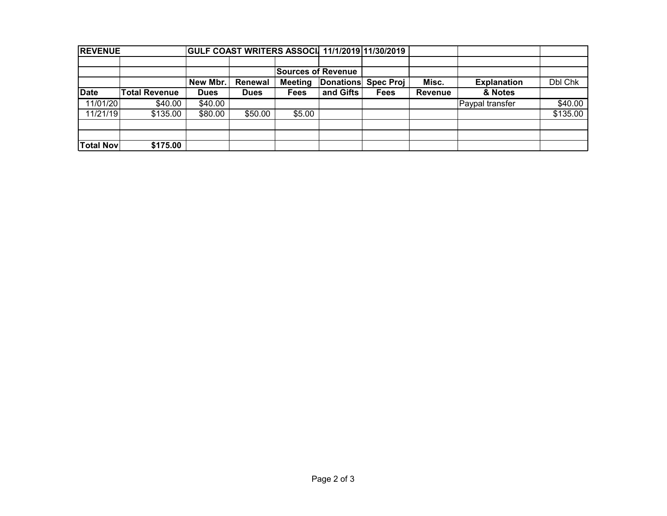| <b>REVENUE</b>    |                      |             |                |                           |                  | GULF COAST WRITERS ASSOCI 11/1/2019 11/30/2019 |         |                    |          |
|-------------------|----------------------|-------------|----------------|---------------------------|------------------|------------------------------------------------|---------|--------------------|----------|
|                   |                      |             |                |                           |                  |                                                |         |                    |          |
|                   |                      |             |                | <b>Sources of Revenue</b> |                  |                                                |         |                    |          |
|                   |                      | New Mbr.    | <b>Renewal</b> | <b>Meeting</b>            | <b>Donations</b> | <b>Spec Proj</b>                               | Misc.   | <b>Explanation</b> | Dbl Chk  |
| <b>Date</b>       | <b>Total Revenue</b> | <b>Dues</b> | Dues           | <b>Fees</b>               | and Gifts        | <b>Fees</b>                                    | Revenue | & Notes            |          |
| 11/01/20          | \$40.00              | \$40.00     |                |                           |                  |                                                |         | Paypal transfer    | \$40.00  |
| 11/21/19          | \$135.00             | \$80.00     | \$50.00        | \$5.00                    |                  |                                                |         |                    | \$135.00 |
|                   |                      |             |                |                           |                  |                                                |         |                    |          |
|                   |                      |             |                |                           |                  |                                                |         |                    |          |
| <b>Total Nov.</b> | \$175.00             |             |                |                           |                  |                                                |         |                    |          |